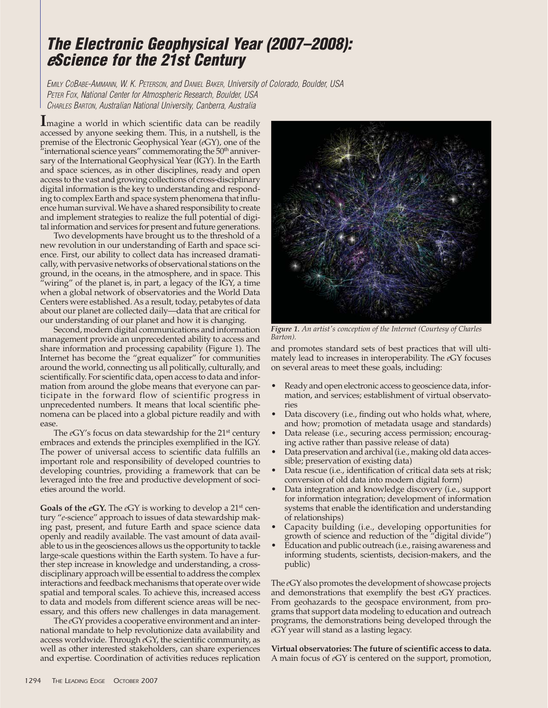## **The Electronic Geophysical Year (2007–2008): <sup>e</sup>Science for the 21st Century**

EMILY COBABE-AMMANN, W. K. PETERSON, and DANIEL BAKER, University of Colorado, Boulder, USA PETER FOX, National Center for Atmospheric Research, Boulder, USA CHARLES BARTON, Australian National University, Canberra, Australia

**I**magine a world in which scientific data can be readily accessed by anyone seeking them. This, in a nutshell, is the premise of the Electronic Geophysical Year (*e*GY), one of the  $\tilde{m}'$  international science years" commemorating the  $50<sup>th</sup>$  anniversary of the International Geophysical Year (IGY). In the Earth and space sciences, as in other disciplines, ready and open access to the vast and growing collections of cross-disciplinary digital information is the key to understanding and responding to complex Earth and space system phenomena that influence human survival. We have a shared responsibility to create and implement strategies to realize the full potential of digital information and services for present and future generations.

Two developments have brought us to the threshold of a new revolution in our understanding of Earth and space science. First, our ability to collect data has increased dramatically, with pervasive networks of observational stations on the ground, in the oceans, in the atmosphere, and in space. This "wiring" of the planet is, in part, a legacy of the IGY, a time when a global network of observatories and the World Data Centers were established. As a result, today, petabytes of data about our planet are collected daily—data that are critical for our understanding of our planet and how it is changing.

Second, modern digital communications and information management provide an unprecedented ability to access and share information and processing capability (Figure 1). The Internet has become the "great equalizer" for communities around the world, connecting us all politically, culturally, and scientifically. For scientific data, open access to data and information from around the globe means that everyone can participate in the forward flow of scientific progress in unprecedented numbers. It means that local scientific phenomena can be placed into a global picture readily and with ease.

The *e*GY's focus on data stewardship for the 21<sup>st</sup> century embraces and extends the principles exemplified in the IGY. The power of universal access to scientific data fulfills an important role and responsibility of developed countries to developing countries, providing a framework that can be leveraged into the free and productive development of societies around the world.

**Goals of the** *e***GY.** The *e*GY is working to develop a 21st century "*e*-science" approach to issues of data stewardship making past, present, and future Earth and space science data openly and readily available. The vast amount of data available to us in the geosciences allows us the opportunity to tackle large-scale questions within the Earth system. To have a further step increase in knowledge and understanding, a crossdisciplinary approach will be essential to address the complex interactions and feedback mechanisms that operate over wide spatial and temporal scales. To achieve this, increased access to data and models from different science areas will be necessary, and this offers new challenges in data management.

The *e*GY provides a cooperative environment and an international mandate to help revolutionize data availability and access worldwide. Through *e*GY, the scientific community, as well as other interested stakeholders, can share experiences and expertise. Coordination of activities reduces replication



*Figure 1. An artist's conception of the Internet (Courtesy of Charles Barton).*

and promotes standard sets of best practices that will ultimately lead to increases in interoperability. The *e*GY focuses on several areas to meet these goals, including:

- Ready and open electronic access to geoscience data, information, and services; establishment of virtual observatories
- Data discovery (i.e., finding out who holds what, where, and how; promotion of metadata usage and standards)
- Data release (i.e., securing access permission; encouraging active rather than passive release of data)
- Data preservation and archival (i.e., making old data accessible; preservation of existing data)
- Data rescue (i.e., identification of critical data sets at risk; conversion of old data into modern digital form)
- Data integration and knowledge discovery (i.e., support for information integration; development of information systems that enable the identification and understanding of relationships)
- Capacity building (i.e., developing opportunities for growth of science and reduction of the "digital divide")
- Education and public outreach (i.e., raising awareness and informing students, scientists, decision-makers, and the public)

The *e*GY also promotes the development of showcase projects and demonstrations that exemplify the best *e*GY practices. From geohazards to the geospace environment, from programs that support data modeling to education and outreach programs, the demonstrations being developed through the *e*GY year will stand as a lasting legacy.

**Virtual observatories: The future of scientific access to data.** A main focus of *e*GY is centered on the support, promotion,